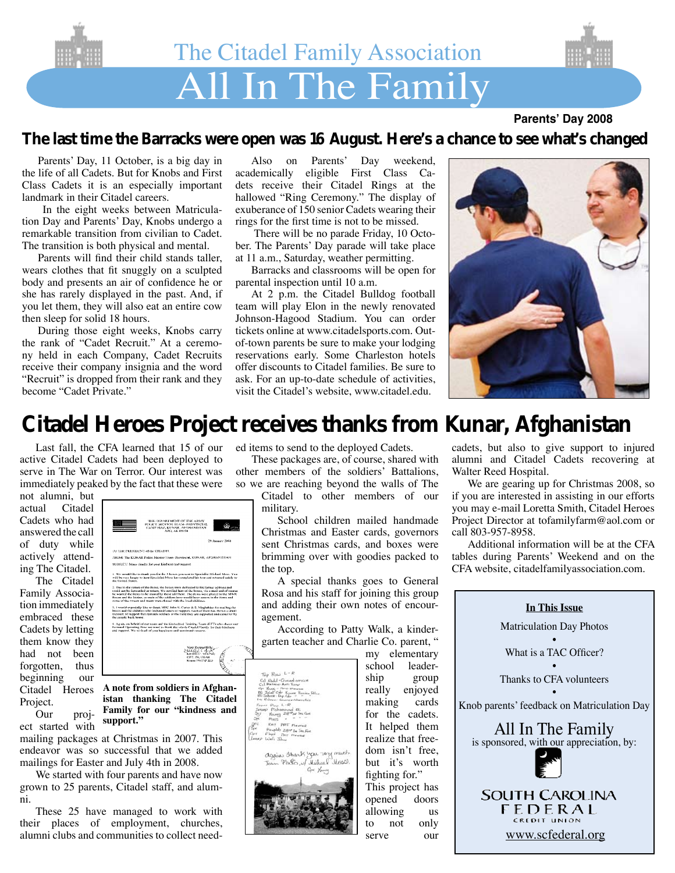

### **Parents' Day 2008**

## **The last time the Barracks were open was 16 August. Here's a chance to see what's changed**

Parents' Day, 11 October, is a big day in the life of all Cadets. But for Knobs and First Class Cadets it is an especially important landmark in their Citadel careers.

 In the eight weeks between Matriculation Day and Parents' Day, Knobs undergo a remarkable transition from civilian to Cadet. The transition is both physical and mental.

Parents will find their child stands taller, wears clothes that fit snuggly on a sculpted body and presents an air of confidence he or she has rarely displayed in the past. And, if you let them, they will also eat an entire cow then sleep for solid 18 hours.

During those eight weeks, Knobs carry the rank of "Cadet Recruit." At a ceremony held in each Company, Cadet Recruits receive their company insignia and the word "Recruit" is dropped from their rank and they become "Cadet Private."

Also on Parents' Day weekend, academically eligible First Class Cadets receive their Citadel Rings at the hallowed "Ring Ceremony." The display of exuberance of 150 senior Cadets wearing their rings for the first time is not to be missed.

 There will be no parade Friday, 10 October. The Parents' Day parade will take place at 11 a.m., Saturday, weather permitting.

Barracks and classrooms will be open for parental inspection until 10 a.m.

At 2 p.m. the Citadel Bulldog football team will play Elon in the newly renovated Johnson-Hagood Stadium. You can order tickets online at www.citadelsports.com. Outof-town parents be sure to make your lodging reservations early. Some Charleston hotels offer discounts to Citadel families. Be sure to ask. For an up-to-date schedule of activities, visit the Citadel's website, www.citadel.edu.



# **Citadel Heroes Project receives thanks from Kunar, Afghanistan**

Last fall, the CFA learned that 15 of our active Citadel Cadets had been deployed to serve in The War on Terror. Our interest was immediately peaked by the fact that these were

TO THE PRESIDENT of the CHADEL

not alumni, but actual Citadel Cadets who had answered the call of duty while actively attending The Citadel.

The Citadel Family Association immediately embraced these Cadets by letting them know they had not been forgotten, thus beginning our Citadel Heroes Project.<br>Our

project started with

mailing packages at Christmas in 2007. This endeavor was so successful that we added mailings for Easter and July 4th in 2008.

**support."**

**A note from soldiers in Afghanistan thanking The Citadel Family for our "kindness and** 

4. Again, on behalf of our team and the Embedded Training Team (ETT)<br>Forward Operating Hate we want to thank the whole Chadel Panelly for<br>and support, We wish all of you happings and continued success.

FROM: The KUNAR Police Menter Team-Provincial, KUNAR, AFGHANISTAI inks for your kinduces and sup 1. We would like to thank you for the 5 better you sent to Speciali<br>will be very largey to heat Specialist Moss has completed his tour<br>the Hoired States

We started with four parents and have now grown to 25 parents, Citadel staff, and alumni.

These 25 have managed to work with their places of employment, churches, alumni clubs and communities to collect needed items to send to the deployed Cadets.

These packages are, of course, shared with other members of the soldiers' Battalions, so we are reaching beyond the walls of The Citadel to other members of our military.

School children mailed handmade Christmas and Easter cards, governors sent Christmas cards, and boxes were brimming over with goodies packed to the top.

A special thanks goes to General Rosa and his staff for joining this group and adding their own notes of encouragement.

According to Patty Walk, a kindergarten teacher and Charlie Co. parent, "



my elementary school leader-<br>ship group group really enjoyed making cards for the cadets. It helped them realize that freedom isn't free, but it's worth fighting for." This project has

opened doors allowing us to not only serve our

cadets, but also to give support to injured alumni and Citadel Cadets recovering at Walter Reed Hospital.

We are gearing up for Christmas 2008, so if you are interested in assisting in our efforts you may e-mail Loretta Smith, Citadel Heroes Project Director at tofamilyfarm@aol.com or call 803-957-8958.

Additional information will be at the CFA tables during Parents' Weekend and on the CFA website, citadelfamilyassociation.com.

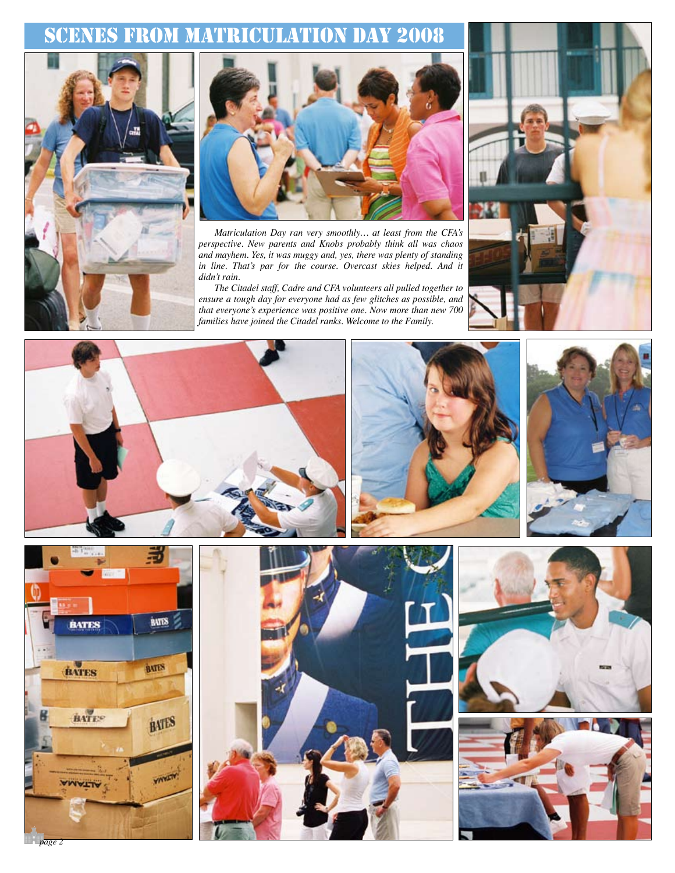## Scenes from Matriculation Day 2008





*Matriculation Day ran very smoothly… at least from the CFA's perspective. New parents and Knobs probably think all was chaos and mayhem. Yes, it was muggy and, yes, there was plenty of standing*  in line. That's par for the course. Overcast skies helped. And it *didn't rain.* 

*The Citadel staff, Cadre and CFA volunteers all pulled together to ensure a tough day for everyone had as few glitches as possible, and that everyone's experience was positive one. Now more than new 700 families have joined the Citadel ranks. Welcome to the Family.*





*page 2*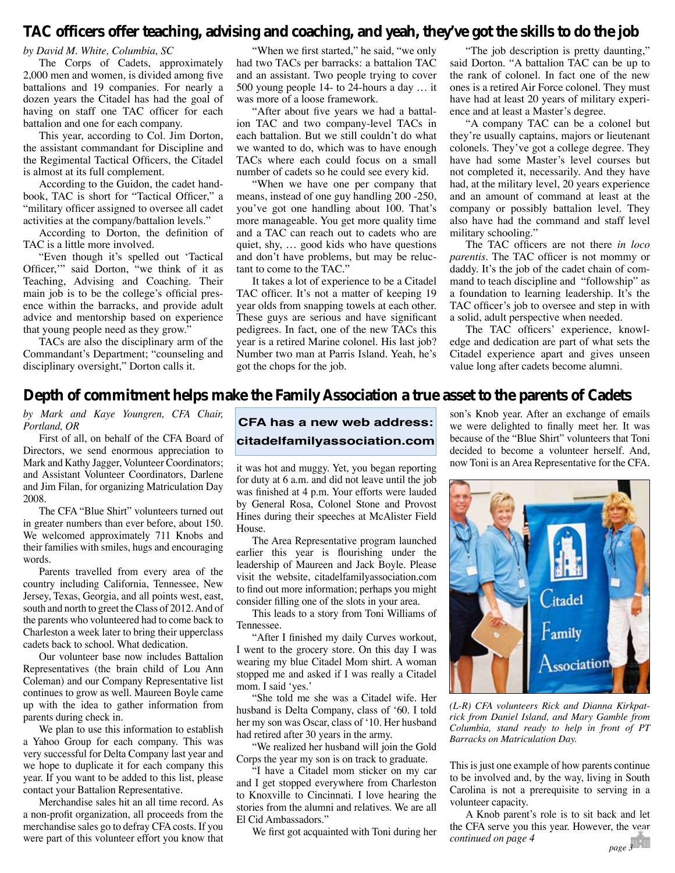## **TAC officers offer teaching, advising and coaching, and yeah, they've got the skills to do the job**

#### *by David M. White, Columbia, SC*

The Corps of Cadets, approximately 2,000 men and women, is divided among five battalions and 19 companies. For nearly a dozen years the Citadel has had the goal of having on staff one TAC officer for each battalion and one for each company.

This year, according to Col. Jim Dorton, the assistant commandant for Discipline and the Regimental Tactical Officers, the Citadel is almost at its full complement.

According to the Guidon, the cadet handbook, TAC is short for "Tactical Officer," a "military officer assigned to oversee all cadet activities at the company/battalion levels."

According to Dorton, the definition of TAC is a little more involved.

"Even though it's spelled out 'Tactical Officer,'" said Dorton, "we think of it as Teaching, Advising and Coaching. Their main job is to be the college's official presence within the barracks, and provide adult advice and mentorship based on experience that young people need as they grow."

TACs are also the disciplinary arm of the Commandant's Department; "counseling and disciplinary oversight," Dorton calls it.

"When we first started," he said, "we only had two TACs per barracks: a battalion TAC and an assistant. Two people trying to cover 500 young people 14- to 24-hours a day … it was more of a loose framework.

"After about five years we had a battalion TAC and two company-level TACs in each battalion. But we still couldn't do what we wanted to do, which was to have enough TACs where each could focus on a small number of cadets so he could see every kid.

"When we have one per company that means, instead of one guy handling 200 -250, you've got one handling about 100. That's more manageable. You get more quality time and a TAC can reach out to cadets who are quiet, shy, … good kids who have questions and don't have problems, but may be reluctant to come to the TAC."

It takes a lot of experience to be a Citadel TAC officer. It's not a matter of keeping 19 year olds from snapping towels at each other. These guys are serious and have significant pedigrees. In fact, one of the new TACs this year is a retired Marine colonel. His last job? Number two man at Parris Island. Yeah, he's got the chops for the job.

"The job description is pretty daunting," said Dorton. "A battalion TAC can be up to the rank of colonel. In fact one of the new ones is a retired Air Force colonel. They must have had at least 20 years of military experience and at least a Master's degree.

"A company TAC can be a colonel but they're usually captains, majors or lieutenant colonels. They've got a college degree. They have had some Master's level courses but not completed it, necessarily. And they have had, at the military level, 20 years experience and an amount of command at least at the company or possibly battalion level. They also have had the command and staff level military schooling."

The TAC officers are not there *in loco parentis*. The TAC officer is not mommy or daddy. It's the job of the cadet chain of command to teach discipline and "followship" as a foundation to learning leadership. It's the TAC officer's job to oversee and step in with a solid, adult perspective when needed.

The TAC officers' experience, knowledge and dedication are part of what sets the Citadel experience apart and gives unseen value long after cadets become alumni.

## **Depth of commitment helps make the Family Association a true asset to the parents of Cadets**

*by Mark and Kaye Youngren, CFA Chair, Portland, OR*

First of all, on behalf of the CFA Board of Directors, we send enormous appreciation to Mark and Kathy Jagger, Volunteer Coordinators; and Assistant Volunteer Coordinators, Darlene and Jim Filan, for organizing Matriculation Day 2008.

The CFA "Blue Shirt" volunteers turned out in greater numbers than ever before, about 150. We welcomed approximately 711 Knobs and their families with smiles, hugs and encouraging words.

Parents travelled from every area of the country including California, Tennessee, New Jersey, Texas, Georgia, and all points west, east, south and north to greet the Class of 2012. And of the parents who volunteered had to come back to Charleston a week later to bring their upperclass cadets back to school. What dedication.

Our volunteer base now includes Battalion Representatives (the brain child of Lou Ann Coleman) and our Company Representative list continues to grow as well. Maureen Boyle came up with the idea to gather information from parents during check in.

We plan to use this information to establish a Yahoo Group for each company. This was very successful for Delta Company last year and we hope to duplicate it for each company this year. If you want to be added to this list, please contact your Battalion Representative.

Merchandise sales hit an all time record. As a non-profit organization, all proceeds from the merchandise sales go to defray CFA costs. If you were part of this volunteer effort you know that

**CFA has a new web address: citadelfamilyassociation.com**

it was hot and muggy. Yet, you began reporting for duty at 6 a.m. and did not leave until the job was finished at 4 p.m. Your efforts were lauded by General Rosa, Colonel Stone and Provost Hines during their speeches at McAlister Field House.

The Area Representative program launched earlier this year is flourishing under the leadership of Maureen and Jack Boyle. Please visit the website, citadelfamilyassociation.com to find out more information; perhaps you might consider filling one of the slots in your area.

This leads to a story from Toni Williams of Tennessee.

"After I finished my daily Curves workout, I went to the grocery store. On this day I was wearing my blue Citadel Mom shirt. A woman stopped me and asked if I was really a Citadel mom. I said 'yes.'

"She told me she was a Citadel wife. Her husband is Delta Company, class of '60. I told her my son was Oscar, class of '10. Her husband had retired after 30 years in the army.

"We realized her husband will join the Gold Corps the year my son is on track to graduate.

"I have a Citadel mom sticker on my car and I get stopped everywhere from Charleston to Knoxville to Cincinnati. I love hearing the stories from the alumni and relatives. We are all El Cid Ambassadors."

We first got acquainted with Toni during her

son's Knob year. After an exchange of emails we were delighted to finally meet her. It was because of the "Blue Shirt" volunteers that Toni decided to become a volunteer herself. And, now Toni is an Area Representative for the CFA.



*(L-R) CFA volunteers Rick and Dianna Kirkpatrick from Daniel Island, and Mary Gamble from Columbia, stand ready to help in front of PT Barracks on Matriculation Day.*

This is just one example of how parents continue to be involved and, by the way, living in South Carolina is not a prerequisite to serving in a volunteer capacity.

A Knob parent's role is to sit back and let the CFA serve you this year. However, the year *continued on page 4 page 3*